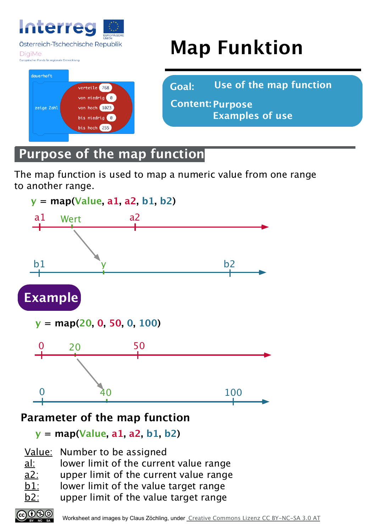

Österreich-Tschechische Republik

**DigiMe** 

#### er Fonds für regionale Entwickl



# **Map Funktion**

**Goal: Use of the map function**

**Purpose Content: Examples of use**

# **Purpose of the map function**

The map function is used to map a numeric value from one range to another range.



### **Parameter of the map function**

**y = map(Value, a1, a2, b1, b2)**

- Value: Number to be assigned
- al: lower limit of the current value range
- a2: upper limit of the current value range
- $b1$ : lower limit of the value target range
- $\underline{b2}$ : upper limit of the value target range